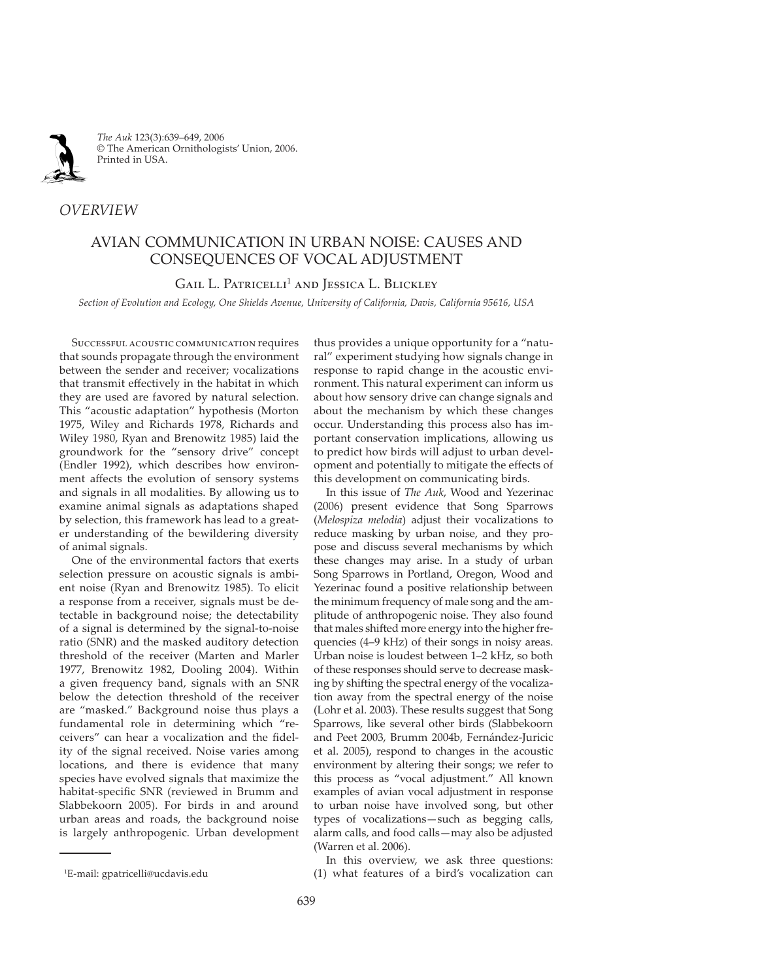

*The Auk* 123(3):639–649, 2006 © The American Ornithologists' Union, 2006. Printed in USA.

## *OVERVIEW*

# AVIAN COMMUNICATION IN URBAN NOISE: CAUSES AND CONSEQUENCES OF VOCAL ADJUSTMENT

### Gail L. Patricelli<sup>1</sup> and Jessica L. Blickley

*Section of Evolution and Ecology, One Shields Avenue, University of California, Davis, California 95616, USA*

Successful acoustic communication requires that sounds propagate through the environment between the sender and receiver; vocalizations that transmit effectively in the habitat in which they are used are favored by natural selection. This "acoustic adaptation" hypothesis (Morton 1975, Wiley and Richards 1978, Richards and Wiley 1980, Ryan and Brenowitz 1985) laid the groundwork for the "sensory drive" concept (Endler 1992), which describes how environment affects the evolution of sensory systems and signals in all modalities. By allowing us to examine animal signals as adaptations shaped by selection, this framework has lead to a greater understanding of the bewildering diversity of animal signals.

One of the environmental factors that exerts selection pressure on acoustic signals is ambient noise (Ryan and Brenowitz 1985). To elicit a response from a receiver, signals must be detectable in background noise; the detectability of a signal is determined by the signal-to-noise ratio (SNR) and the masked auditory detection threshold of the receiver (Marten and Marler 1977, Brenowitz 1982, Dooling 2004). Within a given frequency band, signals with an SNR below the detection threshold of the receiver are "masked." Background noise thus plays a fundamental role in determining which "receivers" can hear a vocalization and the fidelity of the signal received. Noise varies among locations, and there is evidence that many species have evolved signals that maximize the habitat-specific SNR (reviewed in Brumm and Slabbekoorn 2005). For birds in and around urban areas and roads, the background noise is largely anthropogenic. Urban development

thus provides a unique opportunity for a "natural" experiment studying how signals change in response to rapid change in the acoustic environment. This natural experiment can inform us about how sensory drive can change signals and about the mechanism by which these changes occur. Understanding this process also has important conservation implications, allowing us to predict how birds will adjust to urban development and potentially to mitigate the effects of this development on communicating birds.

In this issue of *The Auk*, Wood and Yezerinac (2006) present evidence that Song Sparrows (*Melospiza melodia*) adjust their vocalizations to reduce masking by urban noise, and they propose and discuss several mechanisms by which these changes may arise. In a study of urban Song Sparrows in Portland, Oregon, Wood and Yezerinac found a positive relationship between the minimum frequency of male song and the amplitude of anthropogenic noise. They also found that males shifted more energy into the higher frequencies (4–9 kHz) of their songs in noisy areas. Urban noise is loudest between 1–2 kHz, so both of these responses should serve to decrease masking by shifting the spectral energy of the vocalization away from the spectral energy of the noise (Lohr et al. 2003). These results suggest that Song Sparrows, like several other birds (Slabbekoorn and Peet 2003, Brumm 2004b, Fernández-Juricic et al. 2005), respond to changes in the acoustic environment by altering their songs; we refer to this process as "vocal adjustment." All known examples of avian vocal adjustment in response to urban noise have involved song, but other types of vocalizations—such as begging calls, alarm calls, and food calls—may also be adjusted (Warren et al. 2006).

In this overview, we ask three questions: (1) what features of a bird's vocalization can

<sup>1</sup> E-mail: gpatricelli@ucdavis.edu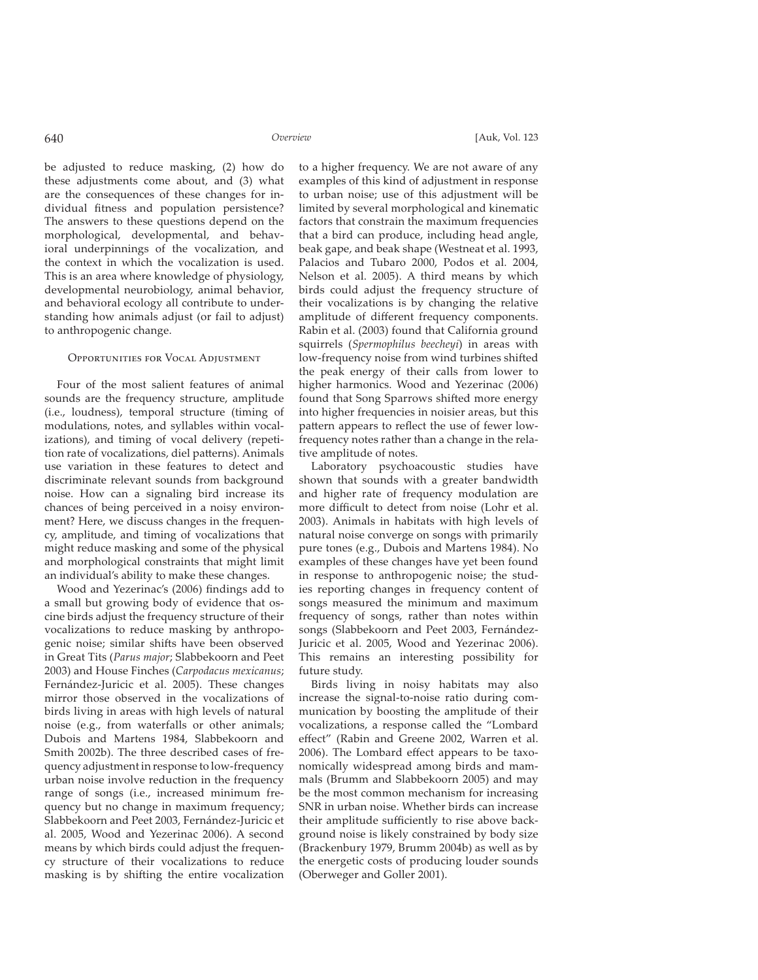be adjusted to reduce masking, (2) how do these adjustments come about, and (3) what are the consequences of these changes for individual fitness and population persistence? The answers to these questions depend on the morphological, developmental, and behavioral underpinnings of the vocalization, and the context in which the vocalization is used. This is an area where knowledge of physiology, developmental neurobiology, animal behavior, and behavioral ecology all contribute to understanding how animals adjust (or fail to adjust) to anthropogenic change.

#### Opportunities for Vocal Adjustment

Four of the most salient features of animal sounds are the frequency structure, amplitude (i.e., loudness), temporal structure (timing of modulations, notes, and syllables within vocalizations), and timing of vocal delivery (repetition rate of vocalizations, diel patterns). Animals use variation in these features to detect and discriminate relevant sounds from background noise. How can a signaling bird increase its chances of being perceived in a noisy environment? Here, we discuss changes in the frequency, amplitude, and timing of vocalizations that might reduce masking and some of the physical and morphological constraints that might limit an individual's ability to make these changes.

Wood and Yezerinac's (2006) findings add to a small but growing body of evidence that oscine birds adjust the frequency structure of their vocalizations to reduce masking by anthropogenic noise; similar shifts have been observed in Great Tits (*Parus major*; Slabbekoorn and Peet 2003) and House Finches (*Carpodacus mexicanus*; Fernández-Juricic et al. 2005). These changes mirror those observed in the vocalizations of birds living in areas with high levels of natural noise (e.g., from waterfalls or other animals; Dubois and Martens 1984, Slabbekoorn and Smith 2002b). The three described cases of frequency adjustment in response to low-frequency urban noise involve reduction in the frequency range of songs (i.e., increased minimum frequency but no change in maximum frequency; Slabbekoorn and Peet 2003, Fernández-Juricic et al. 2005, Wood and Yezerinac 2006). A second means by which birds could adjust the frequency structure of their vocalizations to reduce masking is by shifting the entire vocalization

to a higher frequency. We are not aware of any examples of this kind of adjustment in response to urban noise; use of this adjustment will be limited by several morphological and kinematic factors that constrain the maximum frequencies that a bird can produce, including head angle, beak gape, and beak shape (Westneat et al. 1993, Palacios and Tubaro 2000, Podos et al. 2004, Nelson et al. 2005). A third means by which birds could adjust the frequency structure of their vocalizations is by changing the relative amplitude of different frequency components. Rabin et al. (2003) found that California ground squirrels (*Spermophilus beecheyi*) in areas with low-frequency noise from wind turbines shifted the peak energy of their calls from lower to higher harmonics. Wood and Yezerinac (2006) found that Song Sparrows shifted more energy into higher frequencies in noisier areas, but this pattern appears to reflect the use of fewer lowfrequency notes rather than a change in the relative amplitude of notes.

Laboratory psychoacoustic studies have shown that sounds with a greater bandwidth and higher rate of frequency modulation are more difficult to detect from noise (Lohr et al. 2003). Animals in habitats with high levels of natural noise converge on songs with primarily pure tones (e.g., Dubois and Martens 1984). No examples of these changes have yet been found in response to anthropogenic noise; the studies reporting changes in frequency content of songs measured the minimum and maximum frequency of songs, rather than notes within songs (Slabbekoorn and Peet 2003, Fernández-Juricic et al. 2005, Wood and Yezerinac 2006). This remains an interesting possibility for future study.

Birds living in noisy habitats may also increase the signal-to-noise ratio during communication by boosting the amplitude of their vocalizations, a response called the "Lombard effect" (Rabin and Greene 2002, Warren et al. 2006). The Lombard effect appears to be taxonomically widespread among birds and mammals (Brumm and Slabbekoorn 2005) and may be the most common mechanism for increasing SNR in urban noise. Whether birds can increase their amplitude sufficiently to rise above background noise is likely constrained by body size (Brackenbury 1979, Brumm 2004b) as well as by the energetic costs of producing louder sounds (Oberweger and Goller 2001).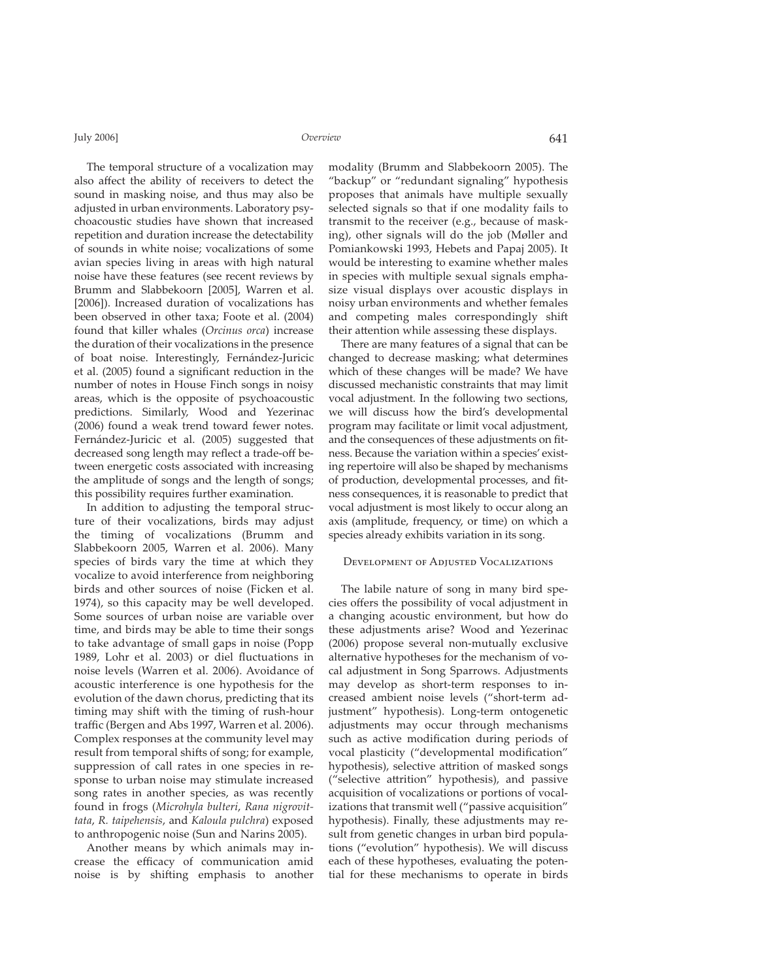The temporal structure of a vocalization may also affect the ability of receivers to detect the sound in masking noise, and thus may also be adjusted in urban environments. Laboratory psychoacoustic studies have shown that increased repetition and duration increase the detectability of sounds in white noise; vocalizations of some avian species living in areas with high natural noise have these features (see recent reviews by Brumm and Slabbekoorn [2005], Warren et al. [2006]). Increased duration of vocalizations has been observed in other taxa; Foote et al. (2004) found that killer whales (*Orcinus orca*) increase the duration of their vocalizations in the presence of boat noise. Interestingly, Fernández-Juricic et al. (2005) found a significant reduction in the number of notes in House Finch songs in noisy areas, which is the opposite of psychoacoustic predictions. Similarly, Wood and Yezerinac (2006) found a weak trend toward fewer notes. Fernández-Juricic et al. (2005) suggested that decreased song length may reflect a trade-off between energetic costs associated with increasing the amplitude of songs and the length of songs; this possibility requires further examination.

In addition to adjusting the temporal structure of their vocalizations, birds may adjust the timing of vocalizations (Brumm and Slabbekoorn 2005, Warren et al. 2006). Many species of birds vary the time at which they vocalize to avoid interference from neighboring birds and other sources of noise (Ficken et al. 1974), so this capacity may be well developed. Some sources of urban noise are variable over time, and birds may be able to time their songs to take advantage of small gaps in noise (Popp 1989, Lohr et al. 2003) or diel fluctuations in noise levels (Warren et al. 2006). Avoidance of acoustic interference is one hypothesis for the evolution of the dawn chorus, predicting that its timing may shift with the timing of rush-hour traffic (Bergen and Abs 1997, Warren et al. 2006). Complex responses at the community level may result from temporal shifts of song; for example, suppression of call rates in one species in response to urban noise may stimulate increased song rates in another species, as was recently found in frogs (*Microhyla bulteri*, *Rana nigrovittata*, *R. taipehensis*, and *Kaloula pulchra*) exposed to anthropogenic noise (Sun and Narins 2005).

Another means by which animals may increase the efficacy of communication amid noise is by shifting emphasis to another modality (Brumm and Slabbekoorn 2005). The "backup" or "redundant signaling" hypothesis proposes that animals have multiple sexually selected signals so that if one modality fails to transmit to the receiver (e.g., because of masking), other signals will do the job (Møller and Pomiankowski 1993, Hebets and Papaj 2005). It would be interesting to examine whether males in species with multiple sexual signals emphasize visual displays over acoustic displays in noisy urban environments and whether females and competing males correspondingly shi their attention while assessing these displays.

There are many features of a signal that can be changed to decrease masking; what determines which of these changes will be made? We have discussed mechanistic constraints that may limit vocal adjustment. In the following two sections, we will discuss how the bird's developmental program may facilitate or limit vocal adjustment, and the consequences of these adjustments on fitness. Because the variation within a species' existing repertoire will also be shaped by mechanisms of production, developmental processes, and fitness consequences, it is reasonable to predict that vocal adjustment is most likely to occur along an axis (amplitude, frequency, or time) on which a species already exhibits variation in its song.

#### Development of Adjusted Vocalizations

The labile nature of song in many bird species offers the possibility of vocal adjustment in a changing acoustic environment, but how do these adjustments arise? Wood and Yezerinac (2006) propose several non-mutually exclusive alternative hypotheses for the mechanism of vocal adjustment in Song Sparrows. Adjustments may develop as short-term responses to increased ambient noise levels ("short-term adjustment" hypothesis). Long-term ontogenetic adjustments may occur through mechanisms such as active modification during periods of vocal plasticity ("developmental modification" hypothesis), selective attrition of masked songs ("selective attrition" hypothesis), and passive acquisition of vocalizations or portions of vocalizations that transmit well ("passive acquisition" hypothesis). Finally, these adjustments may result from genetic changes in urban bird populations ("evolution" hypothesis). We will discuss each of these hypotheses, evaluating the potential for these mechanisms to operate in birds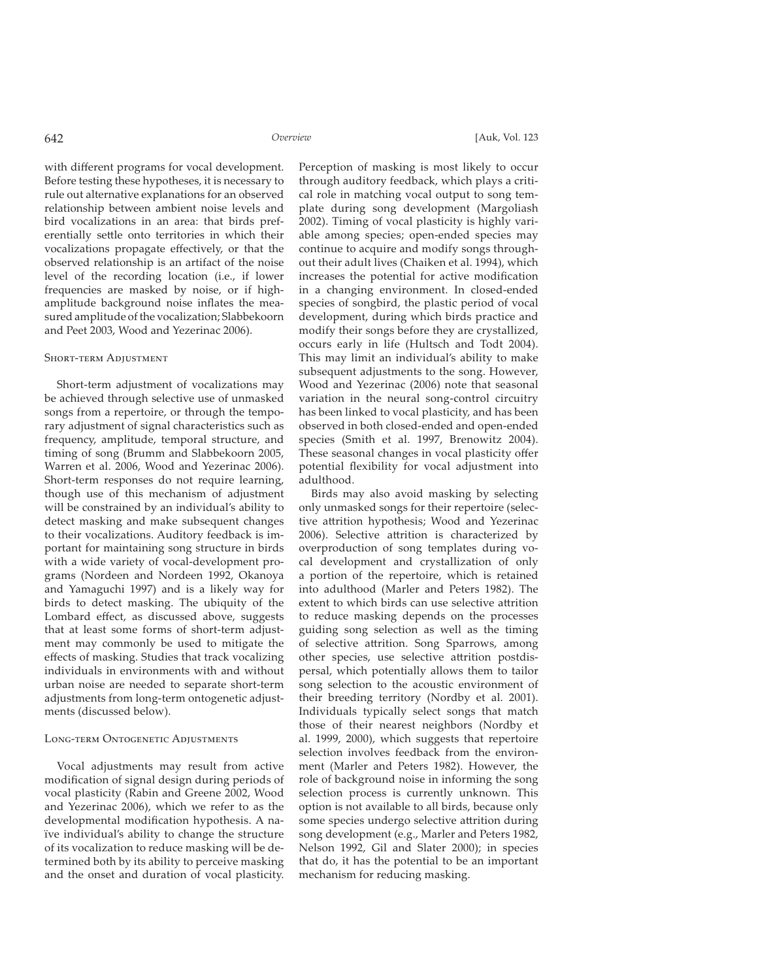with different programs for vocal development. Before testing these hypotheses, it is necessary to rule out alternative explanations for an observed relationship between ambient noise levels and bird vocalizations in an area: that birds preferentially settle onto territories in which their vocalizations propagate effectively, or that the observed relationship is an artifact of the noise level of the recording location (i.e., if lower frequencies are masked by noise, or if highamplitude background noise inflates the measured amplitude of the vocalization; Slabbekoorn and Peet 2003, Wood and Yezerinac 2006).

#### SHORT-TERM ADIUSTMENT

Short-term adjustment of vocalizations may be achieved through selective use of unmasked songs from a repertoire, or through the temporary adjustment of signal characteristics such as frequency, amplitude, temporal structure, and timing of song (Brumm and Slabbekoorn 2005, Warren et al. 2006, Wood and Yezerinac 2006). Short-term responses do not require learning, though use of this mechanism of adjustment will be constrained by an individual's ability to detect masking and make subsequent changes to their vocalizations. Auditory feedback is important for maintaining song structure in birds with a wide variety of vocal-development programs (Nordeen and Nordeen 1992, Okanoya and Yamaguchi 1997) and is a likely way for birds to detect masking. The ubiquity of the Lombard effect, as discussed above, suggests that at least some forms of short-term adjustment may commonly be used to mitigate the effects of masking. Studies that track vocalizing individuals in environments with and without urban noise are needed to separate short-term adjustments from long-term ontogenetic adjustments (discussed below).

#### Long-term Ontogenetic Adjustments

Vocal adjustments may result from active modification of signal design during periods of vocal plasticity (Rabin and Greene 2002, Wood and Yezerinac 2006), which we refer to as the developmental modification hypothesis. A naïve individual's ability to change the structure of its vocalization to reduce masking will be determined both by its ability to perceive masking and the onset and duration of vocal plasticity.

Perception of masking is most likely to occur through auditory feedback, which plays a critical role in matching vocal output to song template during song development (Margoliash 2002). Timing of vocal plasticity is highly variable among species; open-ended species may continue to acquire and modify songs throughout their adult lives (Chaiken et al. 1994), which increases the potential for active modification in a changing environment. In closed-ended species of songbird, the plastic period of vocal development, during which birds practice and modify their songs before they are crystallized, occurs early in life (Hultsch and Todt 2004). This may limit an individual's ability to make subsequent adjustments to the song. However, Wood and Yezerinac (2006) note that seasonal variation in the neural song-control circuitry has been linked to vocal plasticity, and has been observed in both closed-ended and open-ended species (Smith et al. 1997, Brenowitz 2004). These seasonal changes in vocal plasticity offer potential flexibility for vocal adjustment into adulthood.

Birds may also avoid masking by selecting only unmasked songs for their repertoire (selective attrition hypothesis; Wood and Yezerinac 2006). Selective attrition is characterized by overproduction of song templates during vocal development and crystallization of only a portion of the repertoire, which is retained into adulthood (Marler and Peters 1982). The extent to which birds can use selective attrition to reduce masking depends on the processes guiding song selection as well as the timing of selective attrition. Song Sparrows, among other species, use selective attrition postdispersal, which potentially allows them to tailor song selection to the acoustic environment of their breeding territory (Nordby et al. 2001). Individuals typically select songs that match those of their nearest neighbors (Nordby et al. 1999, 2000), which suggests that repertoire selection involves feedback from the environment (Marler and Peters 1982). However, the role of background noise in informing the song selection process is currently unknown. This option is not available to all birds, because only some species undergo selective attrition during song development (e.g., Marler and Peters 1982, Nelson 1992, Gil and Slater 2000); in species that do, it has the potential to be an important mechanism for reducing masking.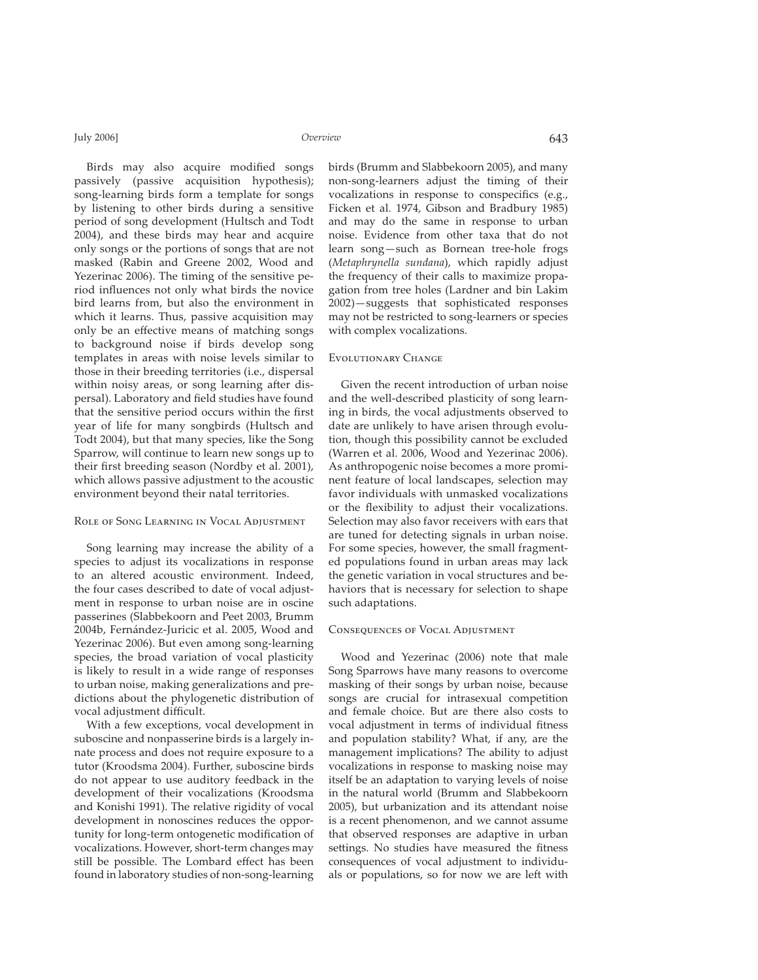Birds may also acquire modified songs passively (passive acquisition hypothesis); song-learning birds form a template for songs by listening to other birds during a sensitive period of song development (Hultsch and Todt 2004), and these birds may hear and acquire only songs or the portions of songs that are not masked (Rabin and Greene 2002, Wood and Yezerinac 2006). The timing of the sensitive period influences not only what birds the novice bird learns from, but also the environment in which it learns. Thus, passive acquisition may only be an effective means of matching songs to background noise if birds develop song templates in areas with noise levels similar to those in their breeding territories (i.e., dispersal within noisy areas, or song learning after dispersal). Laboratory and field studies have found that the sensitive period occurs within the first year of life for many songbirds (Hultsch and Todt 2004), but that many species, like the Song Sparrow, will continue to learn new songs up to their first breeding season (Nordby et al. 2001), which allows passive adjustment to the acoustic environment beyond their natal territories.

#### Role of Song Learning in Vocal Adjustment

Song learning may increase the ability of a species to adjust its vocalizations in response to an altered acoustic environment. Indeed, the four cases described to date of vocal adjustment in response to urban noise are in oscine passerines (Slabbekoorn and Peet 2003, Brumm 2004b, Fernández-Juricic et al. 2005, Wood and Yezerinac 2006). But even among song-learning species, the broad variation of vocal plasticity is likely to result in a wide range of responses to urban noise, making generalizations and predictions about the phylogenetic distribution of vocal adjustment difficult.

With a few exceptions, vocal development in suboscine and nonpasserine birds is a largely innate process and does not require exposure to a tutor (Kroodsma 2004). Further, suboscine birds do not appear to use auditory feedback in the development of their vocalizations (Kroodsma and Konishi 1991). The relative rigidity of vocal development in nonoscines reduces the opportunity for long-term ontogenetic modification of vocalizations. However, short-term changes may still be possible. The Lombard effect has been found in laboratory studies of non-song-learning

birds (Brumm and Slabbekoorn 2005), and many non-song-learners adjust the timing of their vocalizations in response to conspecifics (e.g., Ficken et al. 1974, Gibson and Bradbury 1985) and may do the same in response to urban noise. Evidence from other taxa that do not learn song—such as Bornean tree-hole frogs (*Metaphrynella sundana*), which rapidly adjust the frequency of their calls to maximize propagation from tree holes (Lardner and bin Lakim 2002)—suggests that sophisticated responses may not be restricted to song-learners or species with complex vocalizations.

#### EVOLUTIONARY CHANGE

Given the recent introduction of urban noise and the well-described plasticity of song learning in birds, the vocal adjustments observed to date are unlikely to have arisen through evolution, though this possibility cannot be excluded (Warren et al. 2006, Wood and Yezerinac 2006). As anthropogenic noise becomes a more prominent feature of local landscapes, selection may favor individuals with unmasked vocalizations or the flexibility to adjust their vocalizations. Selection may also favor receivers with ears that are tuned for detecting signals in urban noise. For some species, however, the small fragmented populations found in urban areas may lack the genetic variation in vocal structures and behaviors that is necessary for selection to shape such adaptations.

#### Consequences of Vocal Adjustment

Wood and Yezerinac (2006) note that male Song Sparrows have many reasons to overcome masking of their songs by urban noise, because songs are crucial for intrasexual competition and female choice. But are there also costs to vocal adjustment in terms of individual fitness and population stability? What, if any, are the management implications? The ability to adjust vocalizations in response to masking noise may itself be an adaptation to varying levels of noise in the natural world (Brumm and Slabbekoorn 2005), but urbanization and its attendant noise is a recent phenomenon, and we cannot assume that observed responses are adaptive in urban settings. No studies have measured the fitness consequences of vocal adjustment to individuals or populations, so for now we are left with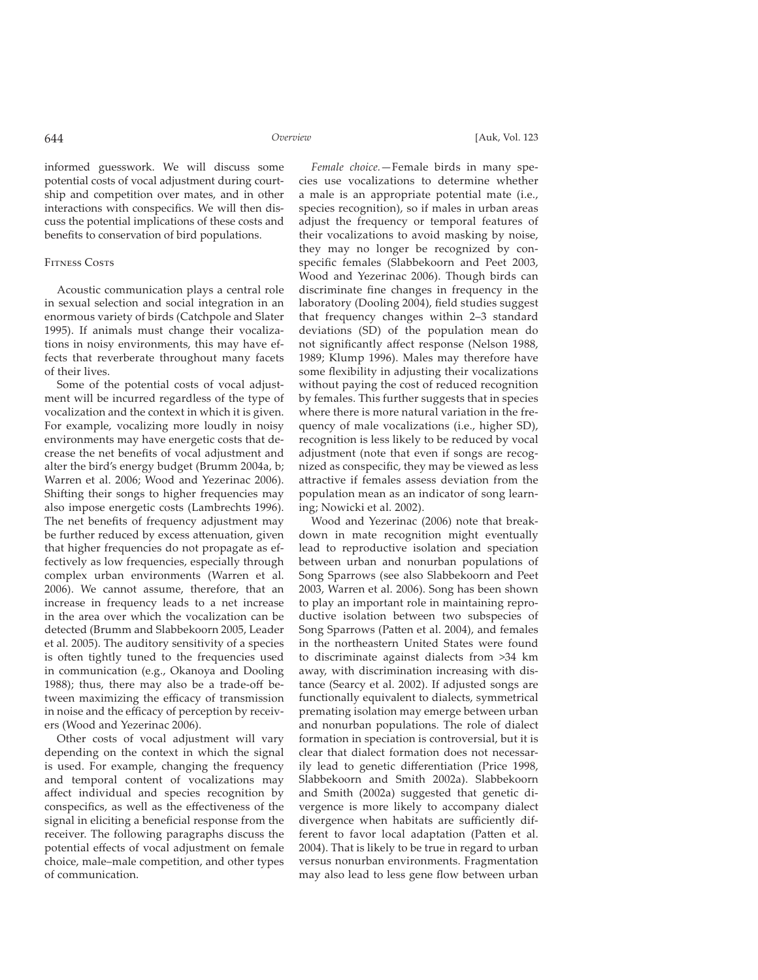informed guesswork. We will discuss some potential costs of vocal adjustment during courtship and competition over mates, and in other interactions with conspecifics. We will then discuss the potential implications of these costs and benefits to conservation of bird populations.

#### Fitness Costs

Acoustic communication plays a central role in sexual selection and social integration in an enormous variety of birds (Catchpole and Slater 1995). If animals must change their vocalizations in noisy environments, this may have effects that reverberate throughout many facets of their lives.

Some of the potential costs of vocal adjustment will be incurred regardless of the type of vocalization and the context in which it is given. For example, vocalizing more loudly in noisy environments may have energetic costs that decrease the net benefits of vocal adjustment and alter the bird's energy budget (Brumm 2004a, b; Warren et al. 2006; Wood and Yezerinac 2006). Shifting their songs to higher frequencies may also impose energetic costs (Lambrechts 1996). The net benefits of frequency adjustment may be further reduced by excess attenuation, given that higher frequencies do not propagate as effectively as low frequencies, especially through complex urban environments (Warren et al. 2006). We cannot assume, therefore, that an increase in frequency leads to a net increase in the area over which the vocalization can be detected (Brumm and Slabbekoorn 2005, Leader et al. 2005). The auditory sensitivity of a species is often tightly tuned to the frequencies used in communication (e.g., Okanoya and Dooling 1988); thus, there may also be a trade-off between maximizing the efficacy of transmission in noise and the efficacy of perception by receivers (Wood and Yezerinac 2006).

Other costs of vocal adjustment will vary depending on the context in which the signal is used. For example, changing the frequency and temporal content of vocalizations may affect individual and species recognition by conspecifics, as well as the effectiveness of the signal in eliciting a beneficial response from the receiver. The following paragraphs discuss the potential effects of vocal adjustment on female choice, male–male competition, and other types of communication.

*Female choice.*—Female birds in many species use vocalizations to determine whether a male is an appropriate potential mate (i.e., species recognition), so if males in urban areas adjust the frequency or temporal features of their vocalizations to avoid masking by noise, they may no longer be recognized by conspecific females (Slabbekoorn and Peet 2003, Wood and Yezerinac 2006). Though birds can discriminate fine changes in frequency in the laboratory (Dooling 2004), field studies suggest that frequency changes within 2–3 standard deviations (SD) of the population mean do not significantly affect response (Nelson 1988, 1989; Klump 1996). Males may therefore have some flexibility in adjusting their vocalizations without paying the cost of reduced recognition by females. This further suggests that in species where there is more natural variation in the frequency of male vocalizations (i.e., higher SD), recognition is less likely to be reduced by vocal adjustment (note that even if songs are recognized as conspecific, they may be viewed as less attractive if females assess deviation from the population mean as an indicator of song learning; Nowicki et al. 2002).

Wood and Yezerinac (2006) note that breakdown in mate recognition might eventually lead to reproductive isolation and speciation between urban and nonurban populations of Song Sparrows (see also Slabbekoorn and Peet 2003, Warren et al. 2006). Song has been shown to play an important role in maintaining reproductive isolation between two subspecies of Song Sparrows (Patten et al. 2004), and females in the northeastern United States were found to discriminate against dialects from >34 km away, with discrimination increasing with distance (Searcy et al. 2002). If adjusted songs are functionally equivalent to dialects, symmetrical premating isolation may emerge between urban and nonurban populations. The role of dialect formation in speciation is controversial, but it is clear that dialect formation does not necessarily lead to genetic differentiation (Price 1998, Slabbekoorn and Smith 2002a). Slabbekoorn and Smith (2002a) suggested that genetic divergence is more likely to accompany dialect divergence when habitats are sufficiently different to favor local adaptation (Patten et al. 2004). That is likely to be true in regard to urban versus nonurban environments. Fragmentation may also lead to less gene flow between urban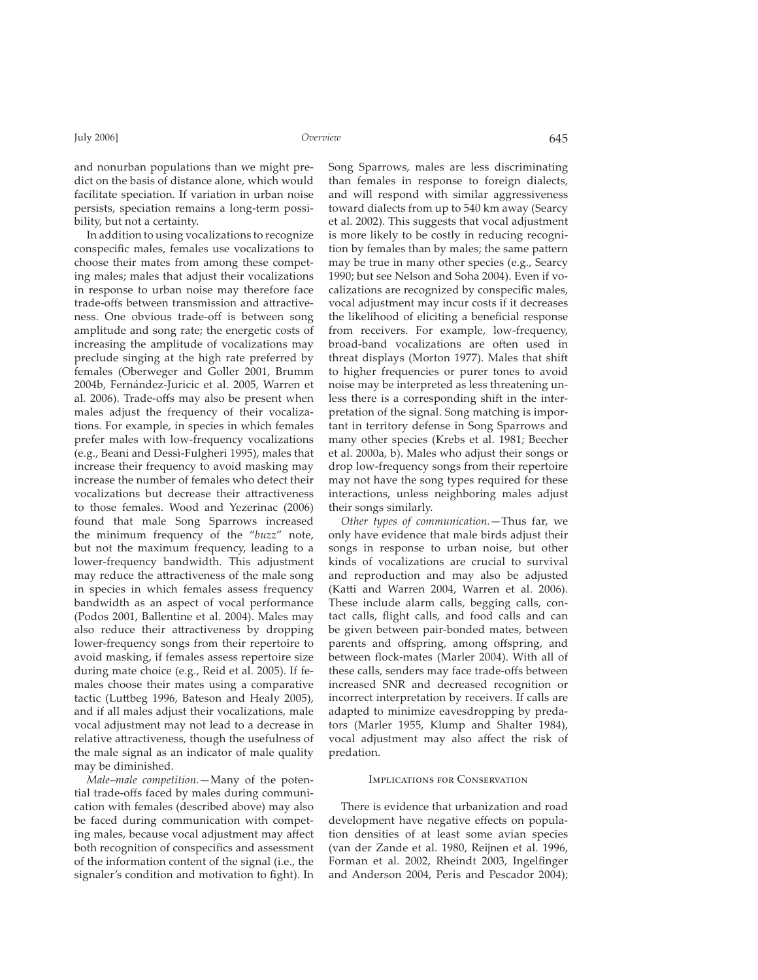and nonurban populations than we might predict on the basis of distance alone, which would facilitate speciation. If variation in urban noise persists, speciation remains a long-term possibility, but not a certainty.

In addition to using vocalizations to recognize conspecific males, females use vocalizations to choose their mates from among these competing males; males that adjust their vocalizations in response to urban noise may therefore face trade-offs between transmission and attractiveness. One obvious trade-off is between song amplitude and song rate; the energetic costs of increasing the amplitude of vocalizations may preclude singing at the high rate preferred by females (Oberweger and Goller 2001, Brumm 2004b, Fernández-Juricic et al. 2005, Warren et al. 2006). Trade-offs may also be present when males adjust the frequency of their vocalizations. For example, in species in which females prefer males with low-frequency vocalizations (e.g., Beani and Dessì-Fulgheri 1995), males that increase their frequency to avoid masking may increase the number of females who detect their vocalizations but decrease their attractiveness to those females. Wood and Yezerinac (2006) found that male Song Sparrows increased the minimum frequency of the "*buzz*" note, but not the maximum frequency, leading to a lower-frequency bandwidth. This adjustment may reduce the attractiveness of the male song in species in which females assess frequency bandwidth as an aspect of vocal performance (Podos 2001, Ballentine et al. 2004). Males may also reduce their attractiveness by dropping lower-frequency songs from their repertoire to avoid masking, if females assess repertoire size during mate choice (e.g., Reid et al. 2005). If females choose their mates using a comparative tactic (Luttbeg 1996, Bateson and Healy 2005), and if all males adjust their vocalizations, male vocal adjustment may not lead to a decrease in relative attractiveness, though the usefulness of the male signal as an indicator of male quality may be diminished.

*Male–male competition.*—Many of the potential trade-offs faced by males during communication with females (described above) may also be faced during communication with competing males, because vocal adjustment may affect both recognition of conspecifics and assessment of the information content of the signal (i.e., the signaler's condition and motivation to fight). In Song Sparrows, males are less discriminating than females in response to foreign dialects, and will respond with similar aggressiveness toward dialects from up to 540 km away (Searcy et al. 2002). This suggests that vocal adjustment is more likely to be costly in reducing recognition by females than by males; the same pattern may be true in many other species (e.g., Searcy 1990; but see Nelson and Soha 2004). Even if vocalizations are recognized by conspecific males, vocal adjustment may incur costs if it decreases the likelihood of eliciting a beneficial response from receivers. For example, low-frequency, broad-band vocalizations are often used in threat displays (Morton 1977). Males that shi to higher frequencies or purer tones to avoid noise may be interpreted as less threatening unless there is a corresponding shift in the interpretation of the signal. Song matching is important in territory defense in Song Sparrows and many other species (Krebs et al. 1981; Beecher et al. 2000a, b). Males who adjust their songs or drop low-frequency songs from their repertoire may not have the song types required for these interactions, unless neighboring males adjust their songs similarly.

*Other types of communication.*—Thus far, we only have evidence that male birds adjust their songs in response to urban noise, but other kinds of vocalizations are crucial to survival and reproduction and may also be adjusted (Katti and Warren 2004, Warren et al. 2006). These include alarm calls, begging calls, contact calls, flight calls, and food calls and can be given between pair-bonded mates, between parents and offspring, among offspring, and between flock-mates (Marler 2004). With all of these calls, senders may face trade-offs between increased SNR and decreased recognition or incorrect interpretation by receivers. If calls are adapted to minimize eavesdropping by predators (Marler 1955, Klump and Shalter 1984), vocal adjustment may also affect the risk of predation.

#### Implications for Conservation

There is evidence that urbanization and road development have negative effects on population densities of at least some avian species (van der Zande et al. 1980, Reijnen et al. 1996, Forman et al. 2002, Rheindt 2003, Ingelfinger and Anderson 2004, Peris and Pescador 2004);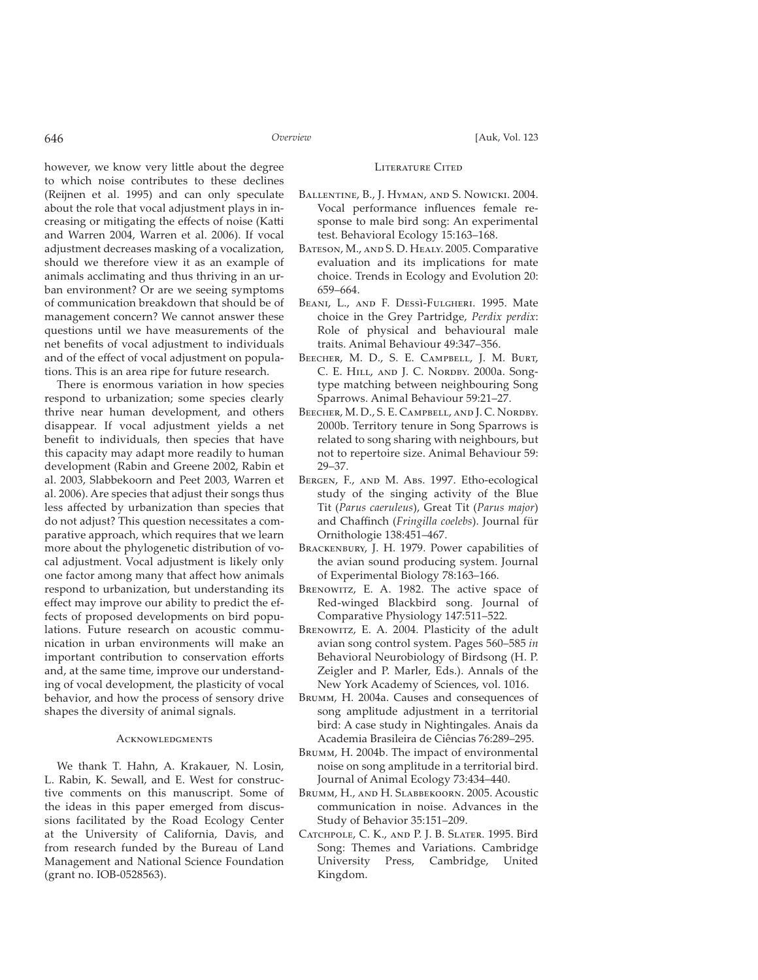however, we know very little about the degree to which noise contributes to these declines (Reijnen et al. 1995) and can only speculate about the role that vocal adjustment plays in increasing or mitigating the effects of noise (Katti and Warren 2004, Warren et al. 2006). If vocal adjustment decreases masking of a vocalization, should we therefore view it as an example of animals acclimating and thus thriving in an urban environment? Or are we seeing symptoms of communication breakdown that should be of management concern? We cannot answer these questions until we have measurements of the net benefits of vocal adjustment to individuals and of the effect of vocal adjustment on populations. This is an area ripe for future research.

There is enormous variation in how species respond to urbanization; some species clearly thrive near human development, and others disappear. If vocal adjustment yields a net benefit to individuals, then species that have this capacity may adapt more readily to human development (Rabin and Greene 2002, Rabin et al. 2003, Slabbekoorn and Peet 2003, Warren et al. 2006). Are species that adjust their songs thus less affected by urbanization than species that do not adjust? This question necessitates a comparative approach, which requires that we learn more about the phylogenetic distribution of vocal adjustment. Vocal adjustment is likely only one factor among many that affect how animals respond to urbanization, but understanding its effect may improve our ability to predict the effects of proposed developments on bird populations. Future research on acoustic communication in urban environments will make an important contribution to conservation efforts and, at the same time, improve our understanding of vocal development, the plasticity of vocal behavior, and how the process of sensory drive shapes the diversity of animal signals.

#### ACKNOWLEDGMENTS

We thank T. Hahn, A. Krakauer, N. Losin, L. Rabin, K. Sewall, and E. West for constructive comments on this manuscript. Some of the ideas in this paper emerged from discussions facilitated by the Road Ecology Center at the University of California, Davis, and from research funded by the Bureau of Land Management and National Science Foundation (grant no. IOB-0528563).

#### Literature Cited

- Ballentine, B., J. Hyman, and S. Nowicki. 2004. Vocal performance influences female response to male bird song: An experimental test. Behavioral Ecology 15:163–168.
- BATESON, M., AND S. D. HEALY. 2005. Comparative evaluation and its implications for mate choice. Trends in Ecology and Evolution 20: 659–664.
- Beani, L., and F. Dessì-Fulgheri. 1995. Mate choice in the Grey Partridge, *Perdix perdix*: Role of physical and behavioural male traits. Animal Behaviour 49:347–356.
- Beecher, M. D., S. E. Campbell, J. M. Burt, C. E. Hill, and J. C. Nordby. 2000a. Songtype matching between neighbouring Song Sparrows. Animal Behaviour 59:21–27.
- Beecher, M. D., S. E. Campbell, and J. C. Nordby. 2000b. Territory tenure in Song Sparrows is related to song sharing with neighbours, but not to repertoire size. Animal Behaviour 59: 29–37.
- BERGEN, F., AND M. ABS. 1997. Etho-ecological study of the singing activity of the Blue Tit (*Parus caeruleus*), Great Tit (*Parus major*) and Chaffinch (Fringilla coelebs). Journal für Ornithologie 138:451–467.
- Brackenbury, J. H. 1979. Power capabilities of the avian sound producing system. Journal of Experimental Biology 78:163–166.
- BRENOWITZ, E. A. 1982. The active space of Red-winged Blackbird song. Journal of Comparative Physiology 147:511–522.
- Brenowitz, E. A. 2004. Plasticity of the adult avian song control system. Pages 560–585 *in* Behavioral Neurobiology of Birdsong (H. P. Zeigler and P. Marler, Eds.). Annals of the New York Academy of Sciences, vol. 1016.
- BRUMM, H. 2004a. Causes and consequences of song amplitude adjustment in a territorial bird: A case study in Nightingales. Anais da Academia Brasileira de Ciências 76:289–295.
- BRUMM, H. 2004b. The impact of environmental noise on song amplitude in a territorial bird. Journal of Animal Ecology 73:434–440.
- BRUMM, H., AND H. SLABBEKOORN. 2005. Acoustic communication in noise. Advances in the Study of Behavior 35:151–209.
- Catchpole, C. K., and P. J. B. Slater. 1995. Bird Song: Themes and Variations. Cambridge University Press, Cambridge, United Kingdom.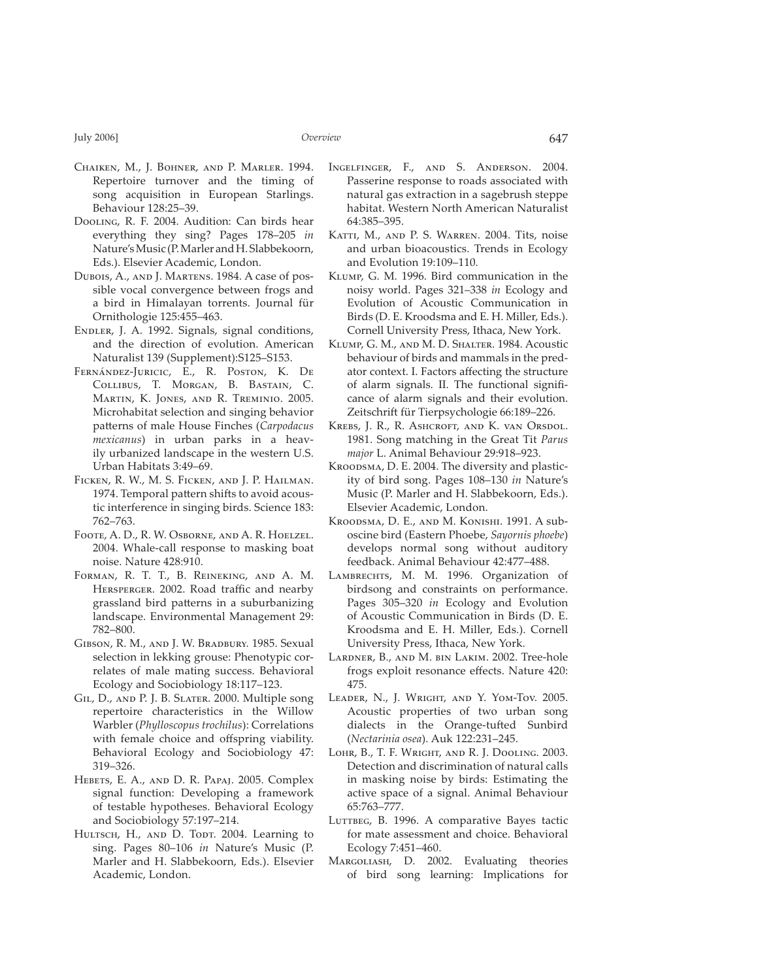- Chaiken, M., J. Bohner, and P. Marler. 1994. Repertoire turnover and the timing of song acquisition in European Starlings. Behaviour 128:25–39.
- Dooling, R. F. 2004. Audition: Can birds hear everything they sing? Pages 178–205 *in* Nature's Music (P. Marler and H. Slabbekoorn, Eds.). Elsevier Academic, London.
- Dubois, A., and J. Martens. 1984. A case of possible vocal convergence between frogs and a bird in Himalayan torrents. Journal für Ornithologie 125:455–463.
- ENDLER, J. A. 1992. Signals, signal conditions, and the direction of evolution. American Naturalist 139 (Supplement):S125–S153.
- Fernández-Juricic, E., R. Poston, K. De Collibus, T. Morgan, B. Bastain, C. Martin, K. Jones, and R. Treminio. 2005. Microhabitat selection and singing behavior patterns of male House Finches (*Carpodacus mexicanus*) in urban parks in a heavily urbanized landscape in the western U.S. Urban Habitats 3:49–69.
- Ficken, R. W., M. S. Ficken, and J. P. Hailman. 1974. Temporal pattern shifts to avoid acoustic interference in singing birds. Science 183: 762–763.
- FOOTE, A. D., R. W. OSBORNE, AND A. R. HOELZEL. 2004. Whale-call response to masking boat noise. Nature 428:910.
- Forman, R. T. T., B. Reineking, and A. M. HERSPERGER. 2002. Road traffic and nearby grassland bird patterns in a suburbanizing landscape. Environmental Management 29: 782–800.
- Gibson, R. M., and J. W. Bradbury. 1985. Sexual selection in lekking grouse: Phenotypic correlates of male mating success. Behavioral Ecology and Sociobiology 18:117–123.
- Gil, D., and P. J. B. Slater. 2000. Multiple song repertoire characteristics in the Willow Warbler (*Phylloscopus trochilus*): Correlations with female choice and offspring viability. Behavioral Ecology and Sociobiology 47: 319–326.
- HEBETS, E. A., AND D. R. PAPAJ. 2005. Complex signal function: Developing a framework of testable hypotheses. Behavioral Ecology and Sociobiology 57:197–214.
- Hulтscн, H., and D. Todт. 2004. Learning to sing. Pages 80–106 *in* Nature's Music (P. Marler and H. Slabbekoorn, Eds.). Elsevier Academic, London.
- Ingelfinger, F., and S. Anderson. 2004. Passerine response to roads associated with natural gas extraction in a sagebrush steppe habitat. Western North American Naturalist 64:385–395.
- Katti, M., and P. S. Warren. 2004. Tits, noise and urban bioacoustics. Trends in Ecology and Evolution 19:109–110.
- KLUMP, G. M. 1996. Bird communication in the noisy world. Pages 321–338 *in* Ecology and Evolution of Acoustic Communication in Birds (D. E. Kroodsma and E. H. Miller, Eds.). Cornell University Press, Ithaca, New York.
- KLUMP, G. M., AND M. D. SHALTER. 1984. Acoustic behaviour of birds and mammals in the predator context. I. Factors affecting the structure of alarm signals. II. The functional significance of alarm signals and their evolution. Zeitschrift für Tierpsychologie 66:189-226.
- Krebs, J. R., R. Ashcroft, and K. van Orsdol. 1981. Song matching in the Great Tit *Parus major* L. Animal Behaviour 29:918–923.
- KROODSMA, D. E. 2004. The diversity and plasticity of bird song. Pages 108–130 *in* Nature's Music (P. Marler and H. Slabbekoorn, Eds.). Elsevier Academic, London.
- Kroodsma, D. E., and M. Konishi. 1991. A suboscine bird (Eastern Phoebe, *Sayornis phoebe*) develops normal song without auditory feedback. Animal Behaviour 42:477–488.
- LAMBRECHTS, M. M. 1996. Organization of birdsong and constraints on performance. Pages 305–320 *in* Ecology and Evolution of Acoustic Communication in Birds (D. E. Kroodsma and E. H. Miller, Eds.). Cornell University Press, Ithaca, New York.
- Lardner, B., and M. bin Lakim. 2002. Tree-hole frogs exploit resonance effects. Nature 420: 475.
- Leader, N., J. Wright, and Y. Yom-Tov. 2005. Acoustic properties of two urban song dialects in the Orange-tufted Sunbird (*Nectarinia osea*). Auk 122:231–245.
- Lohr, B., T. F. Wright, and R. J. Dooling. 2003. Detection and discrimination of natural calls in masking noise by birds: Estimating the active space of a signal. Animal Behaviour 65:763–777.
- LUTTBEG, B. 1996. A comparative Bayes tactic for mate assessment and choice. Behavioral Ecology 7:451–460.
- MARGOLIASH, D. 2002. Evaluating theories of bird song learning: Implications for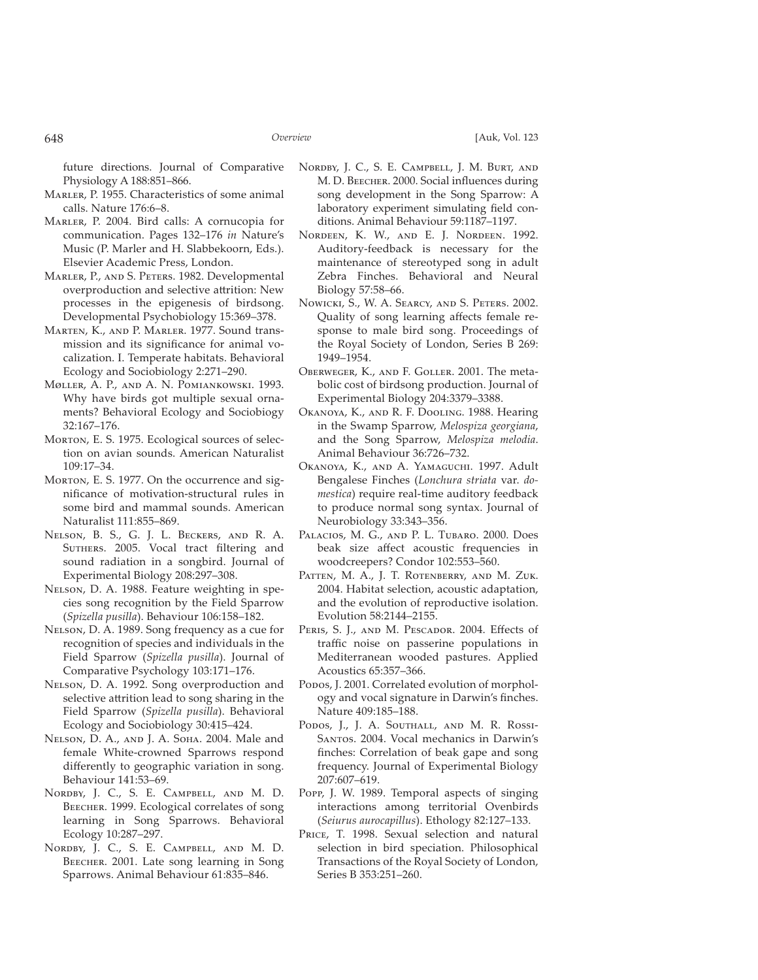future directions. Journal of Comparative Physiology A 188:851–866.

- MARLER, P. 1955. Characteristics of some animal calls. Nature 176:6–8.
- MARLER, P. 2004. Bird calls: A cornucopia for communication. Pages 132–176 *in* Nature's Music (P. Marler and H. Slabbekoorn, Eds.). Elsevier Academic Press, London.
- MARLER, P., AND S. PETERS. 1982. Developmental overproduction and selective attrition: New processes in the epigenesis of birdsong. Developmental Psychobiology 15:369–378.
- MARTEN, K., AND P. MARLER. 1977. Sound transmission and its significance for animal vocalization. I. Temperate habitats. Behavioral Ecology and Sociobiology 2:271–290.
- Møller, A. P., and A. N. Pomiankowski. 1993. Why have birds got multiple sexual ornaments? Behavioral Ecology and Sociobiogy 32:167–176.
- MORTON, E. S. 1975. Ecological sources of selection on avian sounds. American Naturalist 109:17–34.
- MORTON, E. S. 1977. On the occurrence and signifi cance of motivation-structural rules in some bird and mammal sounds. American Naturalist 111:855–869.
- Nelson, B. S., G. J. L. Beckers, and R. A. SUTHERS. 2005. Vocal tract filtering and sound radiation in a songbird. Journal of Experimental Biology 208:297–308.
- NELSON, D. A. 1988. Feature weighting in species song recognition by the Field Sparrow (*Spizella pusilla*). Behaviour 106:158–182.
- NELSON, D. A. 1989. Song frequency as a cue for recognition of species and individuals in the Field Sparrow (*Spizella pusilla*). Journal of Comparative Psychology 103:171–176.
- NELSON, D. A. 1992. Song overproduction and selective attrition lead to song sharing in the Field Sparrow (*Spizella pusilla*). Behavioral Ecology and Sociobiology 30:415–424.
- NELSON, D. A., AND J. A. SOHA. 2004. Male and female White-crowned Sparrows respond differently to geographic variation in song. Behaviour 141:53–69.
- NORDBY, J. C., S. E. CAMPBELL, AND M. D. BEECHER. 1999. Ecological correlates of song learning in Song Sparrows. Behavioral Ecology 10:287–297.
- NORDBY, J. C., S. E. CAMPBELL, AND M. D. BEECHER. 2001. Late song learning in Song Sparrows. Animal Behaviour 61:835–846.
- NORDBY, J. C., S. E. CAMPBELL, J. M. BURT, AND M. D. BEECHER. 2000. Social influences during song development in the Song Sparrow: A laboratory experiment simulating field conditions. Animal Behaviour 59:1187–1197.
- NORDEEN, K. W., AND E. J. NORDEEN. 1992. Auditory-feedback is necessary for the maintenance of stereotyped song in adult Zebra Finches. Behavioral and Neural Biology 57:58–66.
- Nowicki, S., W. A. Searcy, and S. Peters. 2002. Quality of song learning affects female response to male bird song. Proceedings of the Royal Society of London, Series B 269: 1949–1954.
- OBERWEGER, K., AND F. GOLLER. 2001. The metabolic cost of birdsong production. Journal of Experimental Biology 204:3379–3388.
- Okanoya, K., and R. F. Dooling. 1988. Hearing in the Swamp Sparrow, *Melospiza georgiana*, and the Song Sparrow, *Melospiza melodia*. Animal Behaviour 36:726–732.
- Okanoya, K., and A. Yamaguchi. 1997. Adult Bengalese Finches (*Lonchura striata* var. *domestica*) require real-time auditory feedback to produce normal song syntax. Journal of Neurobiology 33:343–356.
- Palacios, M. G., and P. L. Tubaro. 2000. Does beak size affect acoustic frequencies in woodcreepers? Condor 102:553–560.
- PATTEN, M. A., J. T. ROTENBERRY, AND M. ZUK. 2004. Habitat selection, acoustic adaptation, and the evolution of reproductive isolation. Evolution 58:2144–2155.
- Peris, S. J., and M. Pescador. 2004. Effects of traffic noise on passerine populations in Mediterranean wooded pastures. Applied Acoustics 65:357–366.
- Popos, J. 2001. Correlated evolution of morphology and vocal signature in Darwin's finches. Nature 409:185–188.
- Podos, J., J. A. Southall, and M. R. Rossi-SANTOS. 2004. Vocal mechanics in Darwin's finches: Correlation of beak gape and song frequency. Journal of Experimental Biology 207:607–619.
- Popp, J. W. 1989. Temporal aspects of singing interactions among territorial Ovenbirds (*Seiurus aurocapillus*). Ethology 82:127–133.
- Price, T. 1998. Sexual selection and natural selection in bird speciation. Philosophical Transactions of the Royal Society of London, Series B 353:251–260.